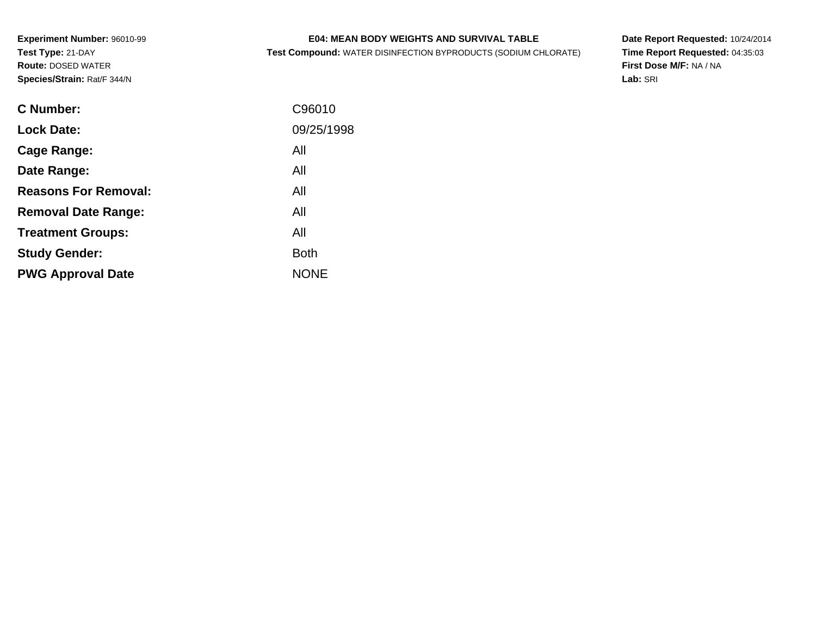### **E04: MEAN BODY WEIGHTS AND SURVIVAL TABLE**

**Test Compound:** WATER DISINFECTION BYPRODUCTS (SODIUM CHLORATE)

**Date Report Requested:** 10/24/2014 **Time Report Requested:** 04:35:03**First Dose M/F:** NA / NA**Lab:** SRI

| <b>C</b> Number:            | C96010      |
|-----------------------------|-------------|
|                             |             |
| <b>Lock Date:</b>           | 09/25/1998  |
| Cage Range:                 | All         |
| Date Range:                 | All         |
| <b>Reasons For Removal:</b> | All         |
| <b>Removal Date Range:</b>  | All         |
| <b>Treatment Groups:</b>    | All         |
| <b>Study Gender:</b>        | <b>Both</b> |
| <b>PWG Approval Date</b>    | <b>NONE</b> |
|                             |             |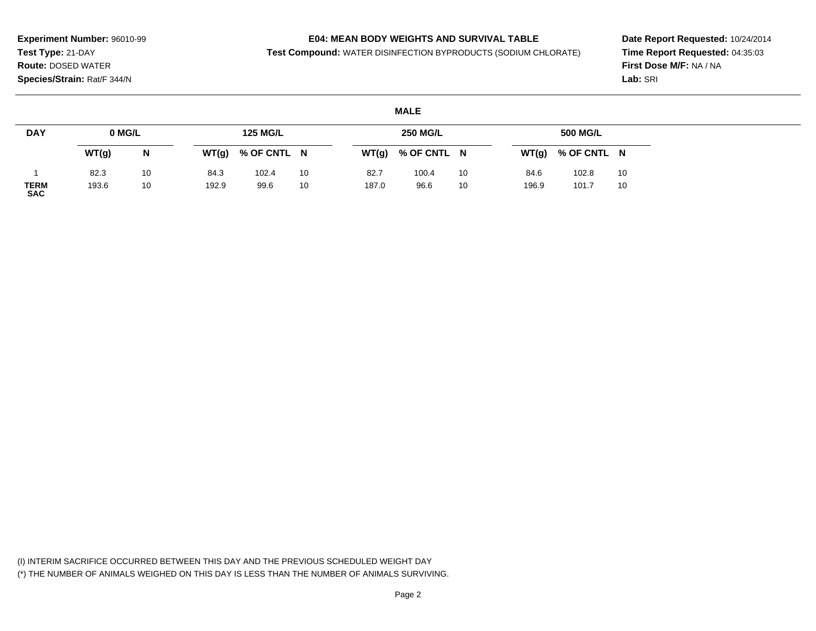### **E04: MEAN BODY WEIGHTS AND SURVIVAL TABLE**

**Test Compound:** WATER DISINFECTION BYPRODUCTS (SODIUM CHLORATE)

**Date Report Requested:** 10/24/2014**Time Report Requested:** 04:35:03**First Dose M/F:** NA / NA**Lab:** SRI

#### **MALE**

| <b>DAY</b>                | 0 MG/L |    |       | <b>125 MG/L</b> |    |       | <b>250 MG/L</b> |    |       | 500 MG/L    |    |
|---------------------------|--------|----|-------|-----------------|----|-------|-----------------|----|-------|-------------|----|
|                           | WT(g)  | N  | WT(g) | % OF CNTL N     |    | WT(g) | % OF CNTL N     |    | WT(g) | % OF CNTL N |    |
|                           | 82.3   | 10 | 84.3  | 102.4           | 10 | 82.7  | 100.4           | 10 | 84.6  | 102.8       | 10 |
| <b>TERM</b><br><b>SAC</b> | 193.6  | 10 | 192.9 | 99.6            | 10 | 187.0 | 96.6            | 10 | 196.9 | 101.7       | 10 |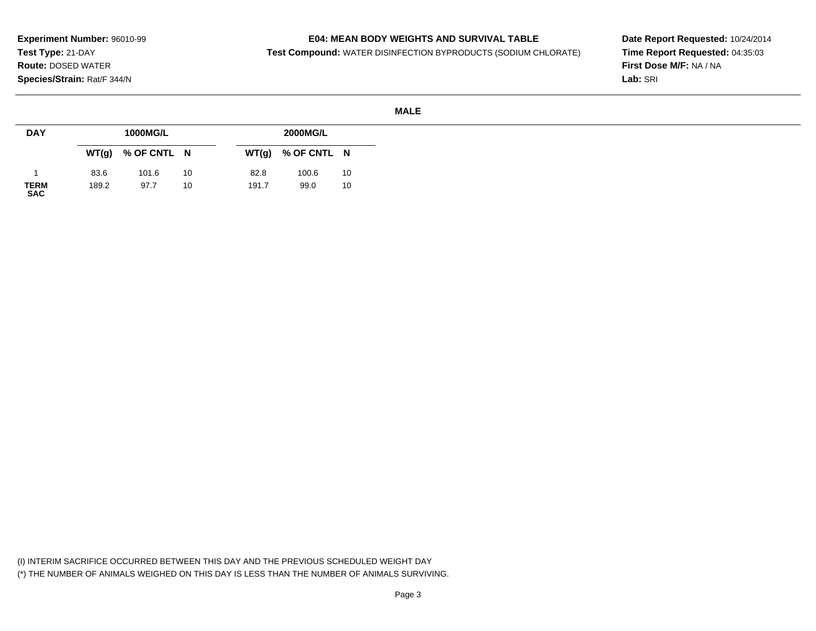### **E04: MEAN BODY WEIGHTS AND SURVIVAL TABLE**

**Test Compound:** WATER DISINFECTION BYPRODUCTS (SODIUM CHLORATE)

**Date Report Requested:** 10/24/2014**Time Report Requested:** 04:35:03**First Dose M/F:** NA / NA**Lab:** SRI

| <b>DAY</b>          |       | 1000MG/L    |    |       | 2000MG/L    |    |
|---------------------|-------|-------------|----|-------|-------------|----|
|                     | WT(g) | % OF CNTL N |    | WT(g) | % OF CNTL N |    |
|                     | 83.6  | 101.6       | 10 | 82.8  | 100.6       | 10 |
| <b>TERM<br/>SAC</b> | 189.2 | 97.7        | 10 | 191.7 | 99.0        | 10 |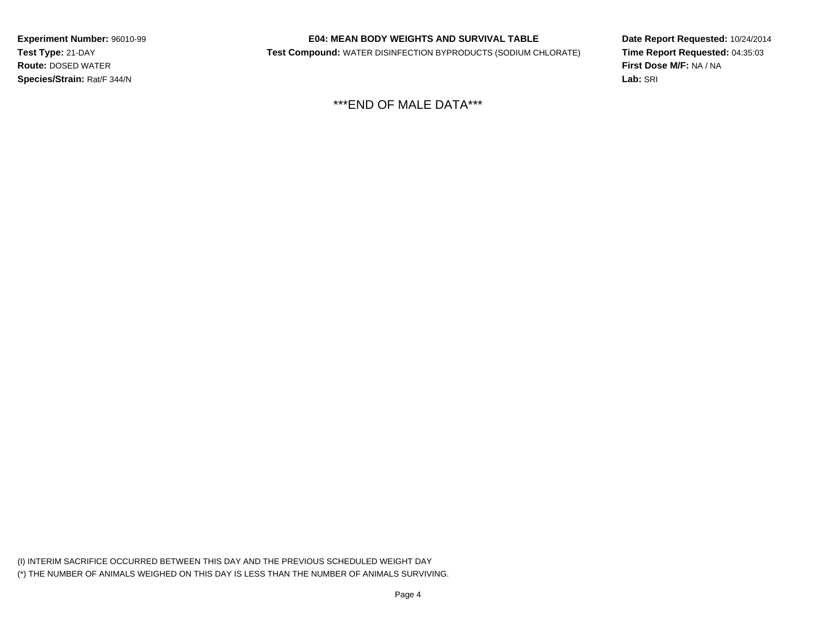### **E04: MEAN BODY WEIGHTS AND SURVIVAL TABLE**

**Test Compound:** WATER DISINFECTION BYPRODUCTS (SODIUM CHLORATE)

**Date Report Requested:** 10/24/2014**Time Report Requested:** 04:35:03**First Dose M/F:** NA / NA**Lab:** SRI

\*\*\*END OF MALE DATA\*\*\*

(I) INTERIM SACRIFICE OCCURRED BETWEEN THIS DAY AND THE PREVIOUS SCHEDULED WEIGHT DAY(\*) THE NUMBER OF ANIMALS WEIGHED ON THIS DAY IS LESS THAN THE NUMBER OF ANIMALS SURVIVING.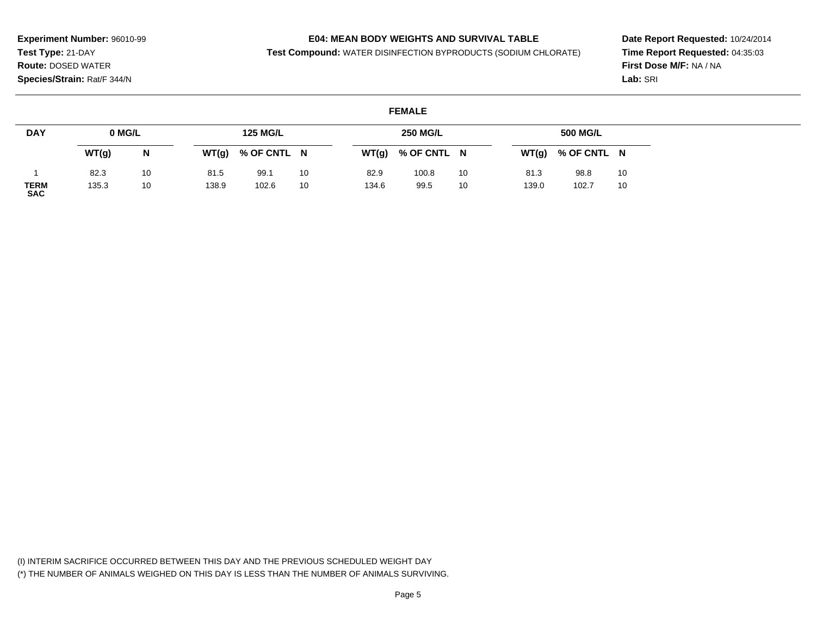### **E04: MEAN BODY WEIGHTS AND SURVIVAL TABLE**

**Test Compound:** WATER DISINFECTION BYPRODUCTS (SODIUM CHLORATE)

**Date Report Requested:** 10/24/2014**Time Report Requested:** 04:35:03**First Dose M/F:** NA / NA**Lab:** SRI

### **FEMALE**

| <b>DAY</b>                | 0 MG/L |    |       | <b>125 MG/L</b> |    |       | <b>250 MG/L</b> |    |       | 500 MG/L    |    |
|---------------------------|--------|----|-------|-----------------|----|-------|-----------------|----|-------|-------------|----|
|                           | WT(g)  | N  | WT(g) | % OF CNTL N     |    | WT(g) | % OF CNTL N     |    | WT(g) | % OF CNTL N |    |
|                           | 82.3   | 10 | 81.5  | 99.1            | 10 | 82.9  | 100.8           | 10 | 81.3  | 98.8        | 10 |
| <b>TERM</b><br><b>SAC</b> | 135.3  | 10 | 138.9 | 102.6           | 10 | 134.6 | 99.5            | 10 | 139.0 | 102.7       | 10 |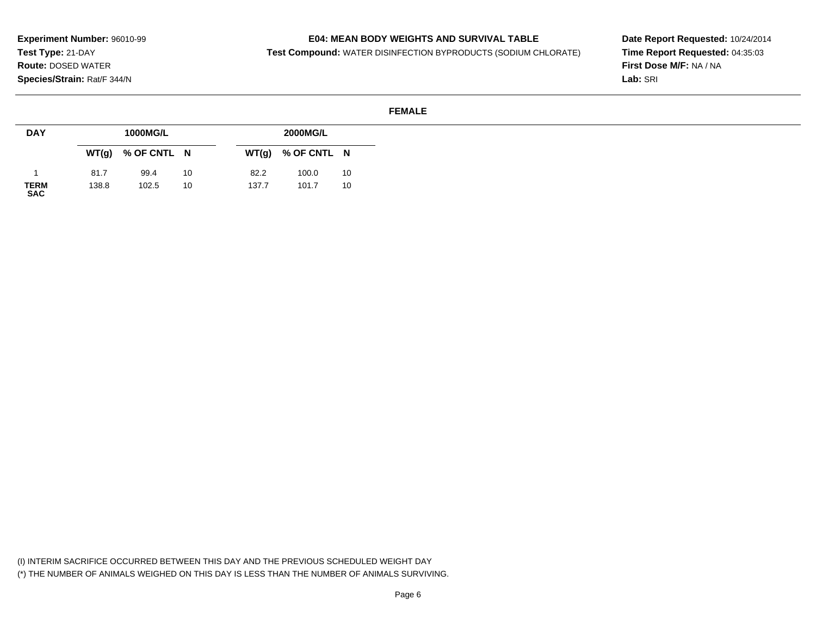### **E04: MEAN BODY WEIGHTS AND SURVIVAL TABLE**

**Test Compound:** WATER DISINFECTION BYPRODUCTS (SODIUM CHLORATE)

**Date Report Requested:** 10/24/2014**Time Report Requested:** 04:35:03**First Dose M/F:** NA / NA**Lab:** SRI

#### **FEMALE**

| <b>DAY</b>                |       | 1000MG/L    |    |       | 2000MG/L    |    |
|---------------------------|-------|-------------|----|-------|-------------|----|
|                           | WT(g) | % OF CNTL N |    | WT(g) | % OF CNTL N |    |
|                           | 81.7  | 99.4        | 10 | 82.2  | 100.0       | 10 |
| <b>TERM</b><br><b>SAC</b> | 138.8 | 102.5       | 10 | 137.7 | 101.7       | 10 |

(I) INTERIM SACRIFICE OCCURRED BETWEEN THIS DAY AND THE PREVIOUS SCHEDULED WEIGHT DAY(\*) THE NUMBER OF ANIMALS WEIGHED ON THIS DAY IS LESS THAN THE NUMBER OF ANIMALS SURVIVING.